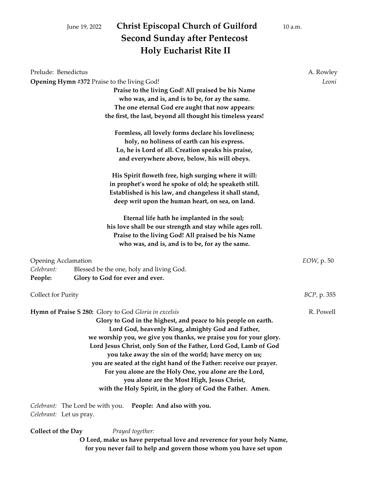# June 19, 2022 **Christ Episcopal Church of Guilford** 10 a.m. **Second Sunday after Pentecost Holy Eucharist Rite II**

| Prelude: Benedictus                                 |                                                                                                                                                                                                                                                                                                                                                                                                                                                                                                                                                                                                                               | A. Rowley           |
|-----------------------------------------------------|-------------------------------------------------------------------------------------------------------------------------------------------------------------------------------------------------------------------------------------------------------------------------------------------------------------------------------------------------------------------------------------------------------------------------------------------------------------------------------------------------------------------------------------------------------------------------------------------------------------------------------|---------------------|
|                                                     | Opening Hymn #372 Praise to the living God!<br>Praise to the living God! All praised be his Name<br>who was, and is, and is to be, for ay the same.<br>The one eternal God ere aught that now appears:<br>the first, the last, beyond all thought his timeless years!                                                                                                                                                                                                                                                                                                                                                         | Leoni               |
|                                                     | Formless, all lovely forms declare his loveliness;<br>holy, no holiness of earth can his express.<br>Lo, he is Lord of all. Creation speaks his praise,<br>and everywhere above, below, his will obeys.                                                                                                                                                                                                                                                                                                                                                                                                                       |                     |
|                                                     | His Spirit floweth free, high surging where it will:<br>in prophet's word he spoke of old; he speaketh still.<br>Established is his law, and changeless it shall stand,<br>deep writ upon the human heart, on sea, on land.                                                                                                                                                                                                                                                                                                                                                                                                   |                     |
|                                                     | Eternal life hath he implanted in the soul;<br>his love shall be our strength and stay while ages roll.<br>Praise to the living God! All praised be his Name<br>who was, and is, and is to be, for ay the same.                                                                                                                                                                                                                                                                                                                                                                                                               |                     |
| <b>Opening Acclamation</b><br>Celebrant:<br>People: | Blessed be the one, holy and living God.<br>Glory to God for ever and ever.                                                                                                                                                                                                                                                                                                                                                                                                                                                                                                                                                   | <i>EOW</i> , p. 50  |
| Collect for Purity                                  |                                                                                                                                                                                                                                                                                                                                                                                                                                                                                                                                                                                                                               | <i>BCP</i> , p. 355 |
|                                                     | Hymn of Praise S 280: Glory to God Gloria in excelsis<br>Glory to God in the highest, and peace to his people on earth.<br>Lord God, heavenly King, almighty God and Father,<br>we worship you, we give you thanks, we praise you for your glory.<br>Lord Jesus Christ, only Son of the Father, Lord God, Lamb of God<br>you take away the sin of the world; have mercy on us;<br>you are seated at the right hand of the Father: receive our prayer.<br>For you alone are the Holy One, you alone are the Lord,<br>you alone are the Most High, Jesus Christ,<br>with the Holy Spirit, in the glory of God the Father. Amen. | R. Powell           |
| Celebrant: Let us pray.                             | Celebrant: The Lord be with you. People: And also with you.                                                                                                                                                                                                                                                                                                                                                                                                                                                                                                                                                                   |                     |
| <b>Collect of the Day</b>                           | Prayed together:                                                                                                                                                                                                                                                                                                                                                                                                                                                                                                                                                                                                              |                     |

**O Lord, make us have perpetual love and reverence for your holy Name, for you never fail to help and govern those whom you have set upon**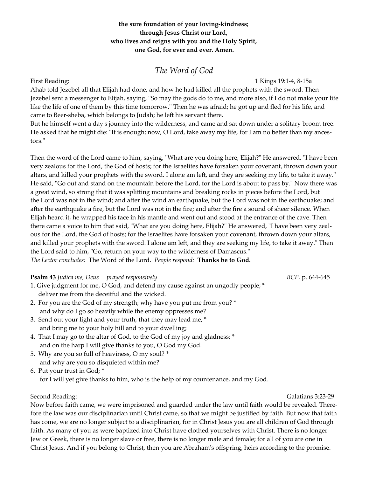#### the sure foundation of your loving-kindness; **through Jesus Christ our Lord, who lives and reigns with you and the Holy Spirit, one God, for ever and ever. Amen.**

## *The Word of God*

First Reading: 1 Kings 19:1-4, 8-15a

Ahab told Jezebel all that Elijah had done, and how he had killed all the prophets with the sword. Then Jezebel sent a messenger to Elijah, saying, "So may the gods do to me, and more also, if I do not make your life like the life of one of them by this time tomorrow." Then he was afraid; he got up and fled for his life, and came to Beer-sheba, which belongs to Judah; he left his servant there.

But he himself went a day's journey into the wilderness, and came and sat down under a solitary broom tree. He asked that he might die: "It is enough; now, O Lord, take away my life, for I am no better than my ancestors."

Then the word of the Lord came to him, saying, "What are you doing here, Elijah?" He answered, "I have been very zealous for the Lord, the God of hosts; for the Israelites have forsaken your covenant, thrown down your altars, and killed your prophets with the sword. I alone am left, and they are seeking my life, to take it away." He said, "Go out and stand on the mountain before the Lord, for the Lord is about to pass by." Now there was a great wind, so strong that it was splitting mountains and breaking rocks in pieces before the Lord, but the Lord was not in the wind; and after the wind an earthquake, but the Lord was not in the earthquake; and after the earthquake a fire, but the Lord was not in the fire; and after the fire a sound of sheer silence. When Elijah heard it, he wrapped his face in his mantle and went out and stood at the entrance of the cave. Then there came a voice to him that said, "What are you doing here, Elijah?" He answered, "I have been very zealous for the Lord, the God of hosts; for the Israelites have forsaken your covenant, thrown down your altars, and killed your prophets with the sword. I alone am left, and they are seeking my life, to take it away." Then the Lord said to him, "Go, return on your way to the wilderness of Damascus." *The Lector concludes:* The Word of the Lord. *People respond:* **Thanks be to God.**

#### **Psalm 43** *Judica me, Deus prayed responsively BCP,* p. 644-645

- 1. Give judgment for me, O God, and defend my cause against an ungodly people; \* deliver me from the deceitful and the wicked.
- 2. For you are the God of my strength; why have you put me from you? \* and why do I go so heavily while the enemy oppresses me?
- 3. Send out your light and your truth, that they may lead me, \* and bring me to your holy hill and to your dwelling;
- 4. That I may go to the altar of God, to the God of my joy and gladness; \* and on the harp I will give thanks to you, O God my God.
- 5. Why are you so full of heaviness, O my soul? \* and why are you so disquieted within me?

6. Put your trust in God; \*

for I will yet give thanks to him, who is the help of my countenance, and my God.

Second Reading: Galatians 3:23-29

Now before faith came, we were imprisoned and guarded under the law until faith would be revealed. Therefore the law was our disciplinarian until Christ came, so that we might be justified by faith. But now that faith has come, we are no longer subject to a disciplinarian, for in Christ Jesus you are all children of God through faith. As many of you as were baptized into Christ have clothed yourselves with Christ. There is no longer Jew or Greek, there is no longer slave or free, there is no longer male and female; for all of you are one in Christ Jesus. And if you belong to Christ, then you are Abraham's offspring, heirs according to the promise.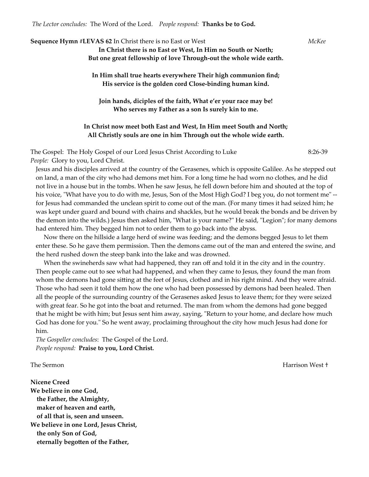*The Lector concludes:* The Word of the Lord. *People respond:* **Thanks be to God.**

**Sequence Hymn #LEVAS 62** In Christ there is no East or West *McKee* **In Christ there is no East or West, In Him no South or North; But one great fellowship of love Through-out the whole wide earth. In Him shall true hearts everywhere Their high communion find; His service is the golden cord Close-binding human kind. Join hands, diciples of the faith, What e'er your race may be! Who serves my Father as a son Is surely kin to me.**

#### **In Christ now meet both East and West, In Him meet South and North; All Christly souls are one in him Through out the whole wide earth.**

The Gospel: The Holy Gospel of our Lord Jesus Christ According to Luke 8:26-39 *People:* Glory to you, Lord Christ.

Jesus and his disciples arrived at the country of the Gerasenes, which is opposite Galilee. As he stepped out on land, a man of the city who had demons met him. For a long time he had worn no clothes, and he did not live in a house but in the tombs. When he saw Jesus, he fell down before him and shouted at the top of his voice, "What have you to do with me, Jesus, Son of the Most High God? I beg you, do not torment me" - for Jesus had commanded the unclean spirit to come out of the man. (For many times it had seized him; he was kept under guard and bound with chains and shackles, but he would break the bonds and be driven by the demon into the wilds.) Jesus then asked him, "What is your name?" He said, "Legion"; for many demons had entered him. They begged him not to order them to go back into the abyss.

 Now there on the hillside a large herd of swine was feeding; and the demons begged Jesus to let them enter these. So he gave them permission. Then the demons came out of the man and entered the swine, and the herd rushed down the steep bank into the lake and was drowned.

 When the swineherds saw what had happened, they ran off and told it in the city and in the country. Then people came out to see what had happened, and when they came to Jesus, they found the man from whom the demons had gone sitting at the feet of Jesus, clothed and in his right mind. And they were afraid. Those who had seen it told them how the one who had been possessed by demons had been healed. Then all the people of the surrounding country of the Gerasenes asked Jesus to leave them; for they were seized with great fear. So he got into the boat and returned. The man from whom the demons had gone begged that he might be with him; but Jesus sent him away, saying, "Return to your home, and declare how much God has done for you." So he went away, proclaiming throughout the city how much Jesus had done for him.

*The Gospeller concludes*: The Gospel of the Lord. *People respond:* **Praise to you, Lord Christ.**

**Nicene Creed We believe in one God, the Father, the Almighty, maker of heaven and earth, of all that is, seen and unseen. We believe in one Lord, Jesus Christ, the only Son of God, eternally begotten of the Father,**

The Sermon Harrison West †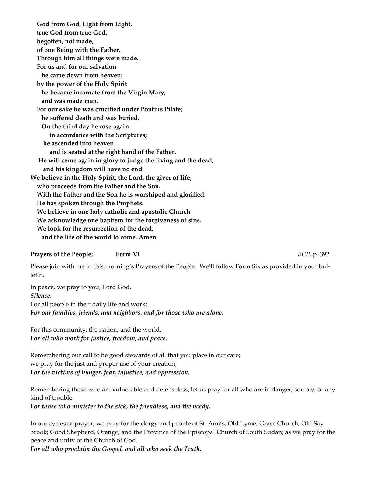**God from God, Light from Light, true God from true God, begotten, not made, of one Being with the Father. Through him all things were made. For us and for our salvation he came down from heaven: by the power of the Holy Spirit he became incarnate from the Virgin Mary, and was made man. For our sake he was crucified under Pontius Pilate; he suffered death and was buried. On the third day he rose again in accordance with the Scriptures; he ascended into heaven and is seated at the right hand of the Father. He will come again in glory to judge the living and the dead, and his kingdom will have no end. We believe in the Holy Spirit, the Lord, the giver of life, who proceeds from the Father and the Son. With the Father and the Son he is worshiped and glorified. He has spoken through the Prophets. We believe in one holy catholic and apostolic Church. We acknowledge one baptism for the forgiveness of sins. We look for the resurrection of the dead, and the life of the world to come. Amen.**

#### **Prayers of the People:** Form VI *BCP***, p. 392**

Please join with me in this morning's Prayers of the People. We'll follow Form Six as provided in your bulletin.

In peace, we pray to you, Lord God. *Silence.* For all people in their daily life and work; *For our families, friends, and neighbors, and for those who are alone.*

For this community, the nation, and the world. *For all who work for justice, freedom, and peace.*

Remembering our call to be good stewards of all that you place in our care; we pray for the just and proper use of your creation; *For the victims of hunger, fear, injustice, and oppression.*

Remembering those who are vulnerable and defenseless; let us pray for all who are in danger, sorrow, or any kind of trouble:

*For those who minister to the sick, the friendless, and the needy.*

In our cycles of prayer, we pray for the clergy and people of St. Ann's, Old Lyme; Grace Church, Old Saybrook; Good Shepherd, Orange; and the Province of the Episcopal Church of South Sudan; as we pray for the peace and unity of the Church of God.

*For all who proclaim the Gospel, and all who seek the Truth.*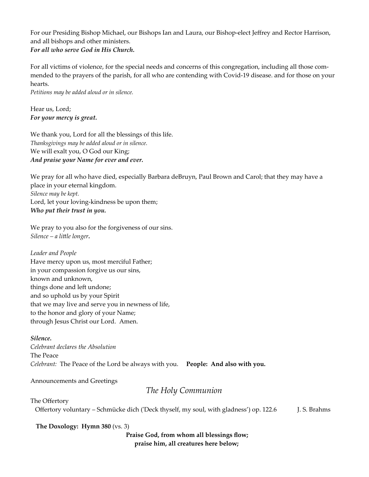For our Presiding Bishop Michael, our Bishops Ian and Laura, our Bishop-elect Jeffrey and Rector Harrison, and all bishops and other ministers. *For all who serve God in His Church.*

For all victims of violence, for the special needs and concerns of this congregation, including all those commended to the prayers of the parish, for all who are contending with Covid-19 disease. and for those on your hearts.

*Petitions may be added aloud or in silence.*

Hear us, Lord; *For your mercy is great.*

We thank you, Lord for all the blessings of this life. *Thanksgivings may be added aloud or in silence.* We will exalt you, O God our King; *And praise your Name for ever and ever.*

We pray for all who have died, especially Barbara deBruyn, Paul Brown and Carol; that they may have a place in your eternal kingdom. *Silence may be kept.* Lord, let your loving-kindness be upon them; *Who put their trust in you.*

We pray to you also for the forgiveness of our sins. *Silence – a little longer.*

*Leader and People* Have mercy upon us, most merciful Father; in your compassion forgive us our sins, known and unknown, things done and left undone; and so uphold us by your Spirit that we may live and serve you in newness of life, to the honor and glory of your Name; through Jesus Christ our Lord. Amen.

#### *Silence.*

*Celebrant declares the Absolution* The Peace *Celebrant:* The Peace of the Lord be always with you. **People: And also with you.**

Announcements and Greetings

## *The Holy Communion*

The Offertory Offertory voluntary – Schmücke dich ('Deck thyself, my soul, with gladness') op. 122.6 J. S. Brahms

#### **The Doxology: Hymn 380** (vs. 3)

**Praise God, from whom all blessings flow; praise him, all creatures here below;**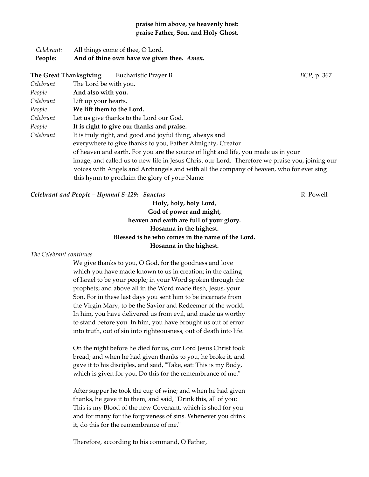#### **praise him above, ye heavenly host: praise Father, Son, and Holy Ghost.**

| Celebrant: | All things come of thee, O Lord.           |
|------------|--------------------------------------------|
| People:    | And of thine own have we given thee. Amen. |

| The Great Thanksgiving | Eucharistic Prayer B                                                                            | BCP, p. 367 |  |
|------------------------|-------------------------------------------------------------------------------------------------|-------------|--|
| Celebrant              | The Lord be with you.                                                                           |             |  |
| People                 | And also with you.                                                                              |             |  |
| Celebrant              | Lift up your hearts.                                                                            |             |  |
| People                 | We lift them to the Lord.                                                                       |             |  |
| Celebrant              | Let us give thanks to the Lord our God.                                                         |             |  |
| People                 | It is right to give our thanks and praise.                                                      |             |  |
| Celebrant              | It is truly right, and good and joyful thing, always and                                        |             |  |
|                        | everywhere to give thanks to you, Father Almighty, Creator                                      |             |  |
|                        | of heaven and earth. For you are the source of light and life, you made us in your              |             |  |
|                        | image, and called us to new life in Jesus Christ our Lord. Therefore we praise you, joining our |             |  |
|                        | voices with Angels and Archangels and with all the company of heaven, who for ever sing         |             |  |
|                        | this hymn to proclaim the glory of your Name:                                                   |             |  |

#### **Celebrant and People – Hymnal S-129: Sanctus** *Reserved by Selection* **Celebrant and People – Hymnal S-129: Sanctus** *Reserved* **by R. Powell**

**Holy, holy, holy Lord, God of power and might, heaven and earth are full of your glory. Hosanna in the highest. Blessed is he who comes in the name of the Lord. Hosanna in the highest.**

#### *The Celebrant continues*

We give thanks to you, O God, for the goodness and love which you have made known to us in creation; in the calling of Israel to be your people; in your Word spoken through the prophets; and above all in the Word made flesh, Jesus, your Son. For in these last days you sent him to be incarnate from the Virgin Mary, to be the Savior and Redeemer of the world. In him, you have delivered us from evil, and made us worthy to stand before you. In him, you have brought us out of error into truth, out of sin into righteousness, out of death into life.

On the night before he died for us, our Lord Jesus Christ took bread; and when he had given thanks to you, he broke it, and gave it to his disciples, and said, "Take, eat: This is my Body, which is given for you. Do this for the remembrance of me."

After supper he took the cup of wine; and when he had given thanks, he gave it to them, and said, "Drink this, all of you: This is my Blood of the new Covenant, which is shed for you and for many for the forgiveness of sins. Whenever you drink it, do this for the remembrance of me."

Therefore, according to his command, O Father,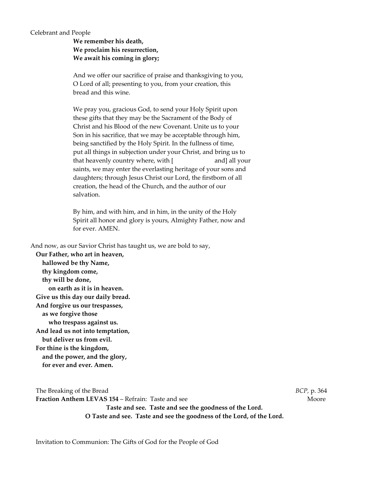#### Celebrant and People

**We remember his death, We proclaim his resurrection, We await his coming in glory;**

And we offer our sacrifice of praise and thanksgiving to you, O Lord of all; presenting to you, from your creation, this bread and this wine.

We pray you, gracious God, to send your Holy Spirit upon these gifts that they may be the Sacrament of the Body of Christ and his Blood of the new Covenant. Unite us to your Son in his sacrifice, that we may be acceptable through him, being sanctified by the Holy Spirit. In the fullness of time, put all things in subjection under your Christ, and bring us to that heavenly country where, with [ and] all your saints, we may enter the everlasting heritage of your sons and daughters; through Jesus Christ our Lord, the firstborn of all creation, the head of the Church, and the author of our salvation.

By him, and with him, and in him, in the unity of the Holy Spirit all honor and glory is yours, Almighty Father, now and for ever. AMEN.

And now, as our Savior Christ has taught us, we are bold to say,

**Our Father, who art in heaven, hallowed be thy Name, thy kingdom come, thy will be done, on earth as it is in heaven. Give us this day our daily bread. And forgive us our trespasses, as we forgive those who trespass against us. And lead us not into temptation, but deliver us from evil. For thine is the kingdom, and the power, and the glory, for ever and ever. Amen.** 

The Breaking of the Bread *BCP,* p. 364 **Fraction Anthem LEVAS 154 – Refrain: Taste and see The Contract of the Moore Moore Taste and see. Taste and see the goodness of the Lord. O Taste and see. Taste and see the goodness of the Lord, of the Lord.**

Invitation to Communion: The Gifts of God for the People of God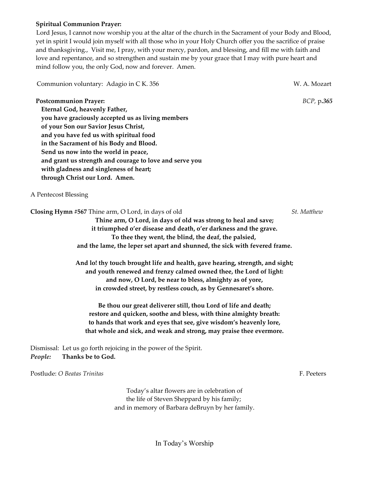#### **Spiritual Communion Prayer:**

 Lord Jesus, I cannot now worship you at the altar of the church in the Sacrament of your Body and Blood, yet in spirit I would join myself with all those who in your Holy Church offer you the sacrifice of praise and thanksgiving., Visit me, I pray, with your mercy, pardon, and blessing, and fill me with faith and love and repentance, and so strengthen and sustain me by your grace that I may with pure heart and mind follow you, the only God, now and forever. Amen.

Communion voluntary: Adagio in C K. 356 W. A. Mozart

#### **Postcommunion Prayer:** *BCP,* p**.***365*

**Eternal God, heavenly Father, you have graciously accepted us as living members of your Son our Savior Jesus Christ, and you have fed us with spiritual food in the Sacrament of his Body and Blood. Send us now into the world in peace, and grant us strength and courage to love and serve you with gladness and singleness of heart; through Christ our Lord. Amen.**

#### A Pentecost Blessing

**Closing Hymn #567** Thine arm, O Lord, in days of old *St. Matthew* **Thine arm, O Lord, in days of old was strong to heal and save;**

**it triumphed o'er disease and death, o'er darkness and the grave. To thee they went, the blind, the deaf, the palsied, and the lame, the leper set apart and shunned, the sick with fevered frame.**

**And lo! thy touch brought life and health, gave hearing, strength, and sight; and youth renewed and frenzy calmed owned thee, the Lord of light: and now, O Lord, be near to bless, almighty as of yore, in crowded street, by restless couch, as by Gennesaret's shore.**

**Be thou our great deliverer still, thou Lord of life and death; restore and quicken, soothe and bless, with thine almighty breath: to hands that work and eyes that see, give wisdom's heavenly lore, that whole and sick, and weak and strong, may praise thee evermore.**

Dismissal: Let us go forth rejoicing in the power of the Spirit. *People:* **Thanks be to God.**

Postlude: *O Beatas Trinitas* F. Peeters

Today's altar flowers are in celebration of the life of Steven Sheppard by his family; and in memory of Barbara deBruyn by her family.